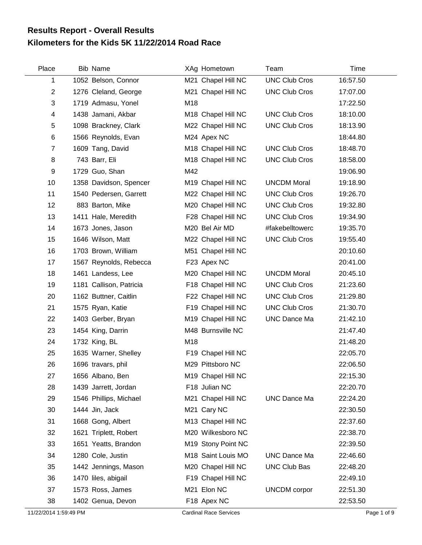## **Kilometers for the Kids 5K 11/22/2014 Road Race Results Report - Overall Results**

| Place                   | <b>Bib Name</b>         | XAg Hometown       | Team                 | Time     |
|-------------------------|-------------------------|--------------------|----------------------|----------|
| 1                       | 1052 Belson, Connor     | M21 Chapel Hill NC | <b>UNC Club Cros</b> | 16:57.50 |
| $\overline{2}$          | 1276 Cleland, George    | M21 Chapel Hill NC | <b>UNC Club Cros</b> | 17:07.00 |
| 3                       | 1719 Admasu, Yonel      | M18                |                      | 17:22.50 |
| $\overline{\mathbf{4}}$ | 1438 Jamani, Akbar      | M18 Chapel Hill NC | <b>UNC Club Cros</b> | 18:10.00 |
| 5                       | 1098 Brackney, Clark    | M22 Chapel Hill NC | <b>UNC Club Cros</b> | 18:13.90 |
| 6                       | 1566 Reynolds, Evan     | M24 Apex NC        |                      | 18:44.80 |
| $\overline{7}$          | 1609 Tang, David        | M18 Chapel Hill NC | <b>UNC Club Cros</b> | 18:48.70 |
| 8                       | 743 Barr, Eli           | M18 Chapel Hill NC | <b>UNC Club Cros</b> | 18:58.00 |
| 9                       | 1729 Guo, Shan          | M42                |                      | 19:06.90 |
| 10                      | 1358 Davidson, Spencer  | M19 Chapel Hill NC | <b>UNCDM Moral</b>   | 19:18.90 |
| 11                      | 1540 Pedersen, Garrett  | M22 Chapel Hill NC | <b>UNC Club Cros</b> | 19:26.70 |
| 12                      | 883 Barton, Mike        | M20 Chapel Hill NC | <b>UNC Club Cros</b> | 19:32.80 |
| 13                      | 1411 Hale, Meredith     | F28 Chapel Hill NC | <b>UNC Club Cros</b> | 19:34.90 |
| 14                      | 1673 Jones, Jason       | M20 Bel Air MD     | #fakebelltowerc      | 19:35.70 |
| 15                      | 1646 Wilson, Matt       | M22 Chapel Hill NC | <b>UNC Club Cros</b> | 19:55.40 |
| 16                      | 1703 Brown, William     | M51 Chapel Hill NC |                      | 20:10.60 |
| 17                      | 1567 Reynolds, Rebecca  | F23 Apex NC        |                      | 20:41.00 |
| 18                      | 1461 Landess, Lee       | M20 Chapel Hill NC | <b>UNCDM Moral</b>   | 20:45.10 |
| 19                      | 1181 Callison, Patricia | F18 Chapel Hill NC | <b>UNC Club Cros</b> | 21:23.60 |
| 20                      | 1162 Buttner, Caitlin   | F22 Chapel Hill NC | <b>UNC Club Cros</b> | 21:29.80 |
| 21                      | 1575 Ryan, Katie        | F19 Chapel Hill NC | <b>UNC Club Cros</b> | 21:30.70 |
| 22                      | 1403 Gerber, Bryan      | M19 Chapel Hill NC | <b>UNC Dance Ma</b>  | 21:42.10 |
| 23                      | 1454 King, Darrin       | M48 Burnsville NC  |                      | 21:47.40 |
| 24                      | 1732 King, BL           | M18                |                      | 21:48.20 |
| 25                      | 1635 Warner, Shelley    | F19 Chapel Hill NC |                      | 22:05.70 |
| 26                      | 1696 travars, phil      | M29 Pittsboro NC   |                      | 22:06.50 |
| 27                      | 1656 Albano, Ben        | M19 Chapel Hill NC |                      | 22:15.30 |
| 28                      | 1439 Jarrett, Jordan    | F18 Julian NC      |                      | 22:20.70 |
| 29                      | 1546 Phillips, Michael  | M21 Chapel Hill NC | <b>UNC Dance Ma</b>  | 22:24.20 |
| 30                      | 1444 Jin, Jack          | M21 Cary NC        |                      | 22:30.50 |
| 31                      | 1668 Gong, Albert       | M13 Chapel Hill NC |                      | 22:37.60 |
| 32                      | 1621 Triplett, Robert   | M20 Wilkesboro NC  |                      | 22:38.70 |
| 33                      | 1651 Yeatts, Brandon    | M19 Stony Point NC |                      | 22:39.50 |
| 34                      | 1280 Cole, Justin       | M18 Saint Louis MO | <b>UNC Dance Ma</b>  | 22:46.60 |
| 35                      | 1442 Jennings, Mason    | M20 Chapel Hill NC | <b>UNC Club Bas</b>  | 22:48.20 |
| 36                      | 1470 liles, abigail     | F19 Chapel Hill NC |                      | 22:49.10 |
| 37                      | 1573 Ross, James        | M21 Elon NC        | <b>UNCDM</b> corpor  | 22:51.30 |
| 38                      | 1402 Genua, Devon       | F18 Apex NC        |                      | 22:53.50 |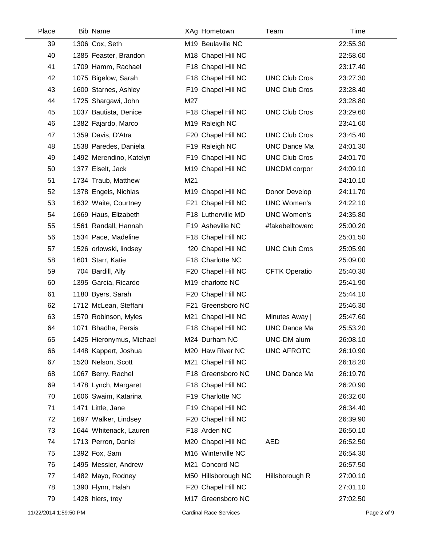| Place | <b>Bib Name</b>   |                            | XAg Hometown        | Team                 | Time     |
|-------|-------------------|----------------------------|---------------------|----------------------|----------|
| 39    | 1306 Cox, Seth    |                            | M19 Beulaville NC   |                      | 22:55.30 |
| 40    |                   | 1385 Feaster, Brandon      | M18 Chapel Hill NC  |                      | 22:58.60 |
| 41    |                   | 1709 Hamm, Rachael         | F18 Chapel Hill NC  |                      | 23:17.40 |
| 42    |                   | 1075 Bigelow, Sarah        | F18 Chapel Hill NC  | <b>UNC Club Cros</b> | 23:27.30 |
| 43    |                   | 1600 Starnes, Ashley       | F19 Chapel Hill NC  | <b>UNC Club Cros</b> | 23:28.40 |
| 44    |                   | 1725 Shargawi, John<br>M27 |                     |                      | 23:28.80 |
| 45    |                   | 1037 Bautista, Denice      | F18 Chapel Hill NC  | <b>UNC Club Cros</b> | 23:29.60 |
| 46    |                   | 1382 Fajardo, Marco        | M19 Raleigh NC      |                      | 23:41.60 |
| 47    |                   | 1359 Davis, D'Atra         | F20 Chapel Hill NC  | <b>UNC Club Cros</b> | 23:45.40 |
| 48    |                   | 1538 Paredes, Daniela      | F19 Raleigh NC      | <b>UNC Dance Ma</b>  | 24:01.30 |
| 49    |                   | 1492 Merendino, Katelyn    | F19 Chapel Hill NC  | <b>UNC Club Cros</b> | 24:01.70 |
| 50    |                   | 1377 Eiselt, Jack          | M19 Chapel Hill NC  | <b>UNCDM</b> corpor  | 24:09.10 |
| 51    |                   | 1734 Traub, Matthew<br>M21 |                     |                      | 24:10.10 |
| 52    |                   | 1378 Engels, Nichlas       | M19 Chapel Hill NC  | Donor Develop        | 24:11.70 |
| 53    |                   | 1632 Waite, Courtney       | F21 Chapel Hill NC  | <b>UNC Women's</b>   | 24:22.10 |
| 54    |                   | 1669 Haus, Elizabeth       | F18 Lutherville MD  | <b>UNC Women's</b>   | 24:35.80 |
| 55    |                   | 1561 Randall, Hannah       | F19 Asheville NC    | #fakebelltowerc      | 25:00.20 |
| 56    |                   | 1534 Pace, Madeline        | F18 Chapel Hill NC  |                      | 25:01.50 |
| 57    |                   | 1526 orlowski, lindsey     | f20 Chapel Hill NC  | <b>UNC Club Cros</b> | 25:05.90 |
| 58    |                   | 1601 Starr, Katie          | F18 Charlotte NC    |                      | 25:09.00 |
| 59    |                   | 704 Bardill, Ally          | F20 Chapel Hill NC  | <b>CFTK Operatio</b> | 25:40.30 |
| 60    |                   | 1395 Garcia, Ricardo       | M19 charlotte NC    |                      | 25:41.90 |
| 61    |                   | 1180 Byers, Sarah          | F20 Chapel Hill NC  |                      | 25:44.10 |
| 62    |                   | 1712 McLean, Steffani      | F21 Greensboro NC   |                      | 25:46.30 |
| 63    |                   | 1570 Robinson, Myles       | M21 Chapel Hill NC  | Minutes Away         | 25:47.60 |
| 64    |                   | 1071 Bhadha, Persis        | F18 Chapel Hill NC  | <b>UNC Dance Ma</b>  | 25:53.20 |
| 65    |                   | 1425 Hieronymus, Michael   | M24 Durham NC       | UNC-DM alum          | 26:08.10 |
| 66    |                   | 1448 Kappert, Joshua       | M20 Haw River NC    | <b>UNC AFROTC</b>    | 26:10.90 |
| 67    |                   | 1520 Nelson, Scott         | M21 Chapel Hill NC  |                      | 26:18.20 |
| 68    |                   | 1067 Berry, Rachel         | F18 Greensboro NC   | <b>UNC Dance Ma</b>  | 26:19.70 |
| 69    |                   | 1478 Lynch, Margaret       | F18 Chapel Hill NC  |                      | 26:20.90 |
| 70    |                   | 1606 Swaim, Katarina       | F19 Charlotte NC    |                      | 26:32.60 |
| 71    | 1471 Little, Jane |                            | F19 Chapel Hill NC  |                      | 26:34.40 |
| 72    |                   | 1697 Walker, Lindsey       | F20 Chapel Hill NC  |                      | 26:39.90 |
| 73    |                   | 1644 Whitenack, Lauren     | F18 Arden NC        |                      | 26:50.10 |
| 74    |                   | 1713 Perron, Daniel        | M20 Chapel Hill NC  | <b>AED</b>           | 26:52.50 |
| 75    | 1392 Fox, Sam     |                            | M16 Winterville NC  |                      | 26:54.30 |
| 76    |                   | 1495 Messier, Andrew       | M21 Concord NC      |                      | 26:57.50 |
| 77    |                   | 1482 Mayo, Rodney          | M50 Hillsborough NC | Hillsborough R       | 27:00.10 |
| 78    |                   | 1390 Flynn, Halah          | F20 Chapel Hill NC  |                      | 27:01.10 |
| 79    | 1428 hiers, trey  |                            | M17 Greensboro NC   |                      | 27:02.50 |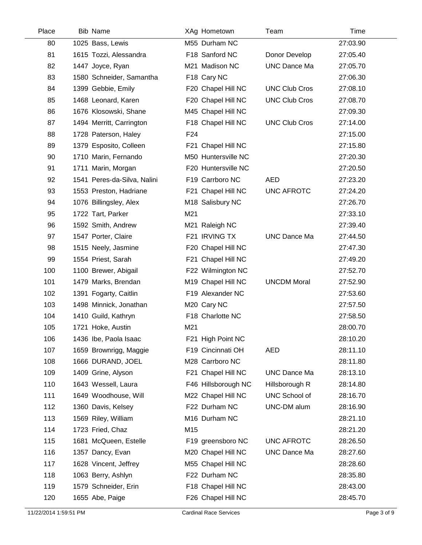| Place | <b>Bib Name</b>             | XAg Hometown        | Team                 | Time     |
|-------|-----------------------------|---------------------|----------------------|----------|
| 80    | 1025 Bass, Lewis            | M55 Durham NC       |                      | 27:03.90 |
| 81    | 1615 Tozzi, Alessandra      | F18 Sanford NC      | Donor Develop        | 27:05.40 |
| 82    | 1447 Joyce, Ryan            | M21 Madison NC      | <b>UNC Dance Ma</b>  | 27:05.70 |
| 83    | 1580 Schneider, Samantha    | F18 Cary NC         |                      | 27:06.30 |
| 84    | 1399 Gebbie, Emily          | F20 Chapel Hill NC  | <b>UNC Club Cros</b> | 27:08.10 |
| 85    | 1468 Leonard, Karen         | F20 Chapel Hill NC  | <b>UNC Club Cros</b> | 27:08.70 |
| 86    | 1676 Klosowski, Shane       | M45 Chapel Hill NC  |                      | 27:09.30 |
| 87    | 1494 Merritt, Carrington    | F18 Chapel Hill NC  | <b>UNC Club Cros</b> | 27:14.00 |
| 88    | 1728 Paterson, Haley        | F <sub>24</sub>     |                      | 27:15.00 |
| 89    | 1379 Esposito, Colleen      | F21 Chapel Hill NC  |                      | 27:15.80 |
| 90    | 1710 Marin, Fernando        | M50 Huntersville NC |                      | 27:20.30 |
| 91    | 1711 Marin, Morgan          | F20 Huntersville NC |                      | 27:20.50 |
| 92    | 1541 Peres-da-Silva, Nalini | F19 Carrboro NC     | <b>AED</b>           | 27:23.20 |
| 93    | 1553 Preston, Hadriane      | F21 Chapel Hill NC  | <b>UNC AFROTC</b>    | 27:24.20 |
| 94    | 1076 Billingsley, Alex      | M18 Salisbury NC    |                      | 27:26.70 |
| 95    | 1722 Tart, Parker           | M21                 |                      | 27:33.10 |
| 96    | 1592 Smith, Andrew          | M21 Raleigh NC      |                      | 27:39.40 |
| 97    | 1547 Porter, Claire         | F21 IRVING TX       | <b>UNC Dance Ma</b>  | 27:44.50 |
| 98    | 1515 Neely, Jasmine         | F20 Chapel Hill NC  |                      | 27:47.30 |
| 99    | 1554 Priest, Sarah          | F21 Chapel Hill NC  |                      | 27:49.20 |
| 100   | 1100 Brewer, Abigail        | F22 Wilmington NC   |                      | 27:52.70 |
| 101   | 1479 Marks, Brendan         | M19 Chapel Hill NC  | <b>UNCDM Moral</b>   | 27:52.90 |
| 102   | 1391 Fogarty, Caitlin       | F19 Alexander NC    |                      | 27:53.60 |
| 103   | 1498 Minnick, Jonathan      | M20 Cary NC         |                      | 27:57.50 |
| 104   | 1410 Guild, Kathryn         | F18 Charlotte NC    |                      | 27:58.50 |
| 105   | 1721 Hoke, Austin           | M21                 |                      | 28:00.70 |
| 106   | 1436 Ibe, Paola Isaac       | F21 High Point NC   |                      | 28:10.20 |
| 107   | 1659 Brownrigg, Maggie      | F19 Cincinnati OH   | <b>AED</b>           | 28:11.10 |
| 108   | 1666 DURAND, JOEL           | M28 Carrboro NC     |                      | 28:11.80 |
| 109   | 1409 Grine, Alyson          | F21 Chapel Hill NC  | <b>UNC Dance Ma</b>  | 28:13.10 |
| 110   | 1643 Wessell, Laura         | F46 Hillsborough NC | Hillsborough R       | 28:14.80 |
| 111   | 1649 Woodhouse, Will        | M22 Chapel Hill NC  | UNC School of        | 28:16.70 |
| 112   | 1360 Davis, Kelsey          | F22 Durham NC       | UNC-DM alum          | 28:16.90 |
| 113   | 1569 Riley, William         | M16 Durham NC       |                      | 28:21.10 |
| 114   | 1723 Fried, Chaz            | M15                 |                      | 28:21.20 |
| 115   | 1681 McQueen, Estelle       | F19 greensboro NC   | UNC AFROTC           | 28:26.50 |
| 116   | 1357 Dancy, Evan            | M20 Chapel Hill NC  | <b>UNC Dance Ma</b>  | 28:27.60 |
| 117   | 1628 Vincent, Jeffrey       | M55 Chapel Hill NC  |                      | 28:28.60 |
| 118   | 1063 Berry, Ashlyn          | F22 Durham NC       |                      | 28:35.80 |
| 119   | 1579 Schneider, Erin        | F18 Chapel Hill NC  |                      | 28:43.00 |
| 120   | 1655 Abe, Paige             | F26 Chapel Hill NC  |                      | 28:45.70 |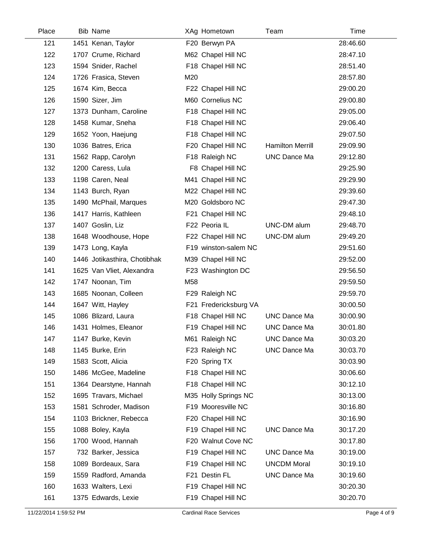| Place | <b>Bib Name</b>              |     | XAg Hometown          | Team                    | Time     |  |
|-------|------------------------------|-----|-----------------------|-------------------------|----------|--|
| 121   | 1451 Kenan, Taylor           |     | F20 Berwyn PA         |                         | 28:46.60 |  |
| 122   | 1707 Crume, Richard          |     | M62 Chapel Hill NC    |                         | 28:47.10 |  |
| 123   | 1594 Snider, Rachel          |     | F18 Chapel Hill NC    |                         | 28:51.40 |  |
| 124   | 1726 Frasica, Steven         | M20 |                       |                         | 28:57.80 |  |
| 125   | 1674 Kim, Becca              |     | F22 Chapel Hill NC    |                         | 29:00.20 |  |
| 126   | 1590 Sizer, Jim              |     | M60 Cornelius NC      |                         | 29:00.80 |  |
| 127   | 1373 Dunham, Caroline        |     | F18 Chapel Hill NC    |                         | 29:05.00 |  |
| 128   | 1458 Kumar, Sneha            |     | F18 Chapel Hill NC    |                         | 29:06.40 |  |
| 129   | 1652 Yoon, Haejung           |     | F18 Chapel Hill NC    |                         | 29:07.50 |  |
| 130   | 1036 Batres, Erica           |     | F20 Chapel Hill NC    | <b>Hamilton Merrill</b> | 29:09.90 |  |
| 131   | 1562 Rapp, Carolyn           |     | F18 Raleigh NC        | <b>UNC Dance Ma</b>     | 29:12.80 |  |
| 132   | 1200 Caress, Lula            |     | F8 Chapel Hill NC     |                         | 29:25.90 |  |
| 133   | 1198 Caren, Neal             |     | M41 Chapel Hill NC    |                         | 29:29.90 |  |
| 134   | 1143 Burch, Ryan             |     | M22 Chapel Hill NC    |                         | 29:39.60 |  |
| 135   | 1490 McPhail, Marques        |     | M20 Goldsboro NC      |                         | 29:47.30 |  |
| 136   | 1417 Harris, Kathleen        |     | F21 Chapel Hill NC    |                         | 29:48.10 |  |
| 137   | 1407 Goslin, Liz             |     | F22 Peoria IL         | UNC-DM alum             | 29:48.70 |  |
| 138   | 1648 Woodhouse, Hope         |     | F22 Chapel Hill NC    | UNC-DM alum             | 29:49.20 |  |
| 139   | 1473 Long, Kayla             |     | F19 winston-salem NC  |                         | 29:51.60 |  |
| 140   | 1446 Jotikasthira, Chotibhak |     | M39 Chapel Hill NC    |                         | 29:52.00 |  |
| 141   | 1625 Van Vliet, Alexandra    |     | F23 Washington DC     |                         | 29:56.50 |  |
| 142   | 1747 Noonan, Tim             | M58 |                       |                         | 29:59.50 |  |
| 143   | 1685 Noonan, Colleen         |     | F29 Raleigh NC        |                         | 29:59.70 |  |
| 144   | 1647 Witt, Hayley            |     | F21 Fredericksburg VA |                         | 30:00.50 |  |
| 145   | 1086 Blizard, Laura          |     | F18 Chapel Hill NC    | <b>UNC Dance Ma</b>     | 30:00.90 |  |
| 146   | 1431 Holmes, Eleanor         |     | F19 Chapel Hill NC    | <b>UNC Dance Ma</b>     | 30:01.80 |  |
| 147   | 1147 Burke, Kevin            |     | M61 Raleigh NC        | <b>UNC Dance Ma</b>     | 30:03.20 |  |
| 148   | 1145 Burke, Erin             |     | F23 Raleigh NC        | <b>UNC Dance Ma</b>     | 30:03.70 |  |
| 149   | 1583 Scott, Alicia           |     | F20 Spring TX         |                         | 30:03.90 |  |
| 150   | 1486 McGee, Madeline         |     | F18 Chapel Hill NC    |                         | 30:06.60 |  |
| 151   | 1364 Dearstyne, Hannah       |     | F18 Chapel Hill NC    |                         | 30:12.10 |  |
| 152   | 1695 Travars, Michael        |     | M35 Holly Springs NC  |                         | 30:13.00 |  |
| 153   | 1581 Schroder, Madison       |     | F19 Mooresville NC    |                         | 30:16.80 |  |
| 154   | 1103 Brickner, Rebecca       |     | F20 Chapel Hill NC    |                         | 30:16.90 |  |
| 155   | 1088 Boley, Kayla            |     | F19 Chapel Hill NC    | <b>UNC Dance Ma</b>     | 30:17.20 |  |
| 156   | 1700 Wood, Hannah            |     | F20 Walnut Cove NC    |                         | 30:17.80 |  |
| 157   | 732 Barker, Jessica          |     | F19 Chapel Hill NC    | <b>UNC Dance Ma</b>     | 30:19.00 |  |
| 158   | 1089 Bordeaux, Sara          |     | F19 Chapel Hill NC    | <b>UNCDM Moral</b>      | 30:19.10 |  |
| 159   | 1559 Radford, Amanda         |     | F21 Destin FL         | <b>UNC Dance Ma</b>     | 30:19.60 |  |
| 160   | 1633 Walters, Lexi           |     | F19 Chapel Hill NC    |                         | 30:20.30 |  |
| 161   | 1375 Edwards, Lexie          |     | F19 Chapel Hill NC    |                         | 30:20.70 |  |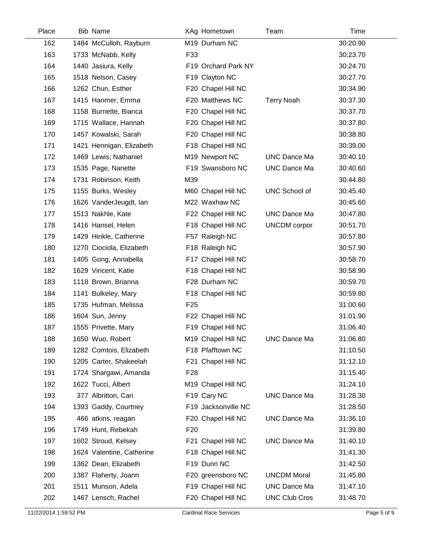| Place | <b>Bib Name</b>           | XAg Hometown        | Team                 | Time     |
|-------|---------------------------|---------------------|----------------------|----------|
| 162   | 1484 McCulloh, Rayburn    | M19 Durham NC       |                      | 30:20.90 |
| 163   | 1733 McNabb, Kelly        | F33                 |                      | 30:23.70 |
| 164   | 1440 Jasiura, Kelly       | F19 Orchard Park NY |                      | 30:24.70 |
| 165   | 1518 Nelson, Casey        | F19 Clayton NC      |                      | 30:27.70 |
| 166   | 1262 Chun, Esther         | F20 Chapel Hill NC  |                      | 30:34.90 |
| 167   | 1415 Hanmer, Emma         | F20 Matthews NC     | <b>Terry Noah</b>    | 30:37.30 |
| 168   | 1158 Burnette, Bianca     | F20 Chapel Hill NC  |                      | 30:37.70 |
| 169   | 1715 Wallace, Hannah      | F20 Chapel Hill NC  |                      | 30:37.80 |
| 170   | 1457 Kowalski, Sarah      | F20 Chapel Hill NC  |                      | 30:38.80 |
| 171   | 1421 Hennigan, Elizabeth  | F18 Chapel Hill NC  |                      | 30:39.00 |
| 172   | 1469 Lewis, Nathaniel     | M19 Newport NC      | <b>UNC Dance Ma</b>  | 30:40.10 |
| 173   | 1535 Page, Nanette        | F19 Swansboro NC    | <b>UNC Dance Ma</b>  | 30:40.60 |
| 174   | 1731 Robinson, Keith      | M39                 |                      | 30:44.80 |
| 175   | 1155 Burks, Wesley        | M60 Chapel Hill NC  | <b>UNC School of</b> | 30:45.40 |
| 176   | 1626 VanderJeugdt, lan    | M22 Waxhaw NC       |                      | 30:45.60 |
| 177   | 1513 Nakhle, Kate         | F22 Chapel Hill NC  | <b>UNC Dance Ma</b>  | 30:47.80 |
| 178   | 1416 Hansel, Helen        | F18 Chapel Hill NC  | <b>UNCDM</b> corpor  | 30:51.70 |
| 179   | 1429 Hinkle, Catherine    | F57 Raleigh NC      |                      | 30:57.80 |
| 180   | 1270 Ciociola, Elizabeth  | F18 Raleigh NC      |                      | 30:57.90 |
| 181   | 1405 Gong, Annabella      | F17 Chapel Hill NC  |                      | 30:58.70 |
| 182   | 1629 Vincent, Katie       | F18 Chapel Hill NC  |                      | 30:58.90 |
| 183   | 1118 Brown, Brianna       | F28 Durham NC       |                      | 30:59.70 |
| 184   | 1141 Bulkeley, Mary       | F18 Chapel Hill NC  |                      | 30:59.80 |
| 185   | 1735 Hufman, Melissa      | F <sub>25</sub>     |                      | 31:00.60 |
| 186   | 1604 Sun, Jenny           | F22 Chapel Hill NC  |                      | 31:01.90 |
| 187   | 1555 Privette, Mary       | F19 Chapel Hill NC  |                      | 31:06.40 |
| 188   | 1650 Wuo, Robert          | M19 Chapel Hill NC  | <b>UNC Dance Ma</b>  | 31:06.80 |
| 189   | 1282 Comtois, Elizabeth   | F18 Pfafftown NC    |                      | 31:10.50 |
| 190   | 1205 Carter, Shakeelah    | F21 Chapel Hill NC  |                      | 31:12.10 |
| 191   | 1724 Shargawi, Amanda     | F <sub>28</sub>     |                      | 31:15.40 |
| 192   | 1622 Tucci, Albert        | M19 Chapel Hill NC  |                      | 31:24.10 |
| 193   | 377 Albritton, Cari       | F19 Cary NC         | <b>UNC Dance Ma</b>  | 31:28.30 |
| 194   | 1393 Gaddy, Courtney      | F19 Jacksonville NC |                      | 31:28.50 |
| 195   | 466 atkins, reagan        | F20 Chapel Hill NC  | <b>UNC Dance Ma</b>  | 31:36.10 |
| 196   | 1749 Hunt, Rebekah        | F <sub>20</sub>     |                      | 31:39.80 |
| 197   | 1602 Stroud, Kelsey       | F21 Chapel Hill NC  | <b>UNC Dance Ma</b>  | 31:40.10 |
| 198   | 1624 Valentine, Catherine | F18 Chapel Hill NC  |                      | 31:41.30 |
| 199   | 1362 Dean, Elizabeth      | F19 Dunn NC         |                      | 31:42.50 |
| 200   | 1387 Flaherty, Joann      | F20 greensboro NC   | <b>UNCDM Moral</b>   | 31:45.80 |
| 201   | 1511 Munson, Adela        | F19 Chapel Hill NC  | <b>UNC Dance Ma</b>  | 31:47.10 |
| 202   | 1467 Lensch, Rachel       | F20 Chapel Hill NC  | <b>UNC Club Cros</b> | 31:48.70 |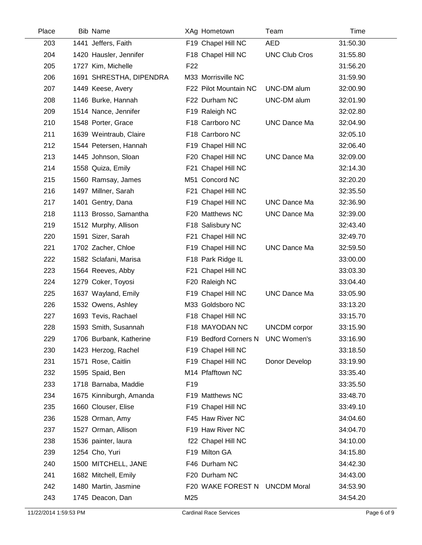| Place | <b>Bib Name</b>         | XAg Hometown                      | Team                 | Time     |
|-------|-------------------------|-----------------------------------|----------------------|----------|
| 203   | 1441 Jeffers, Faith     | F19 Chapel Hill NC                | <b>AED</b>           | 31:50.30 |
| 204   | 1420 Hausler, Jennifer  | F18 Chapel Hill NC                | <b>UNC Club Cros</b> | 31:55.80 |
| 205   | 1727 Kim, Michelle      | F <sub>22</sub>                   |                      | 31:56.20 |
| 206   | 1691 SHRESTHA, DIPENDRA | M33 Morrisville NC                |                      | 31:59.90 |
| 207   | 1449 Keese, Avery       | F22 Pilot Mountain NC             | UNC-DM alum          | 32:00.90 |
| 208   | 1146 Burke, Hannah      | F22 Durham NC                     | UNC-DM alum          | 32:01.90 |
| 209   | 1514 Nance, Jennifer    | F19 Raleigh NC                    |                      | 32:02.80 |
| 210   | 1548 Porter, Grace      | F18 Carrboro NC                   | <b>UNC Dance Ma</b>  | 32:04.90 |
| 211   | 1639 Weintraub, Claire  | F18 Carrboro NC                   |                      | 32:05.10 |
| 212   | 1544 Petersen, Hannah   | F19 Chapel Hill NC                |                      | 32:06.40 |
| 213   | 1445 Johnson, Sloan     | F20 Chapel Hill NC                | <b>UNC Dance Ma</b>  | 32:09.00 |
| 214   | 1558 Quiza, Emily       | F21 Chapel Hill NC                |                      | 32:14.30 |
| 215   | 1560 Ramsay, James      | M51 Concord NC                    |                      | 32:20.20 |
| 216   | 1497 Millner, Sarah     | F21 Chapel Hill NC                |                      | 32:35.50 |
| 217   | 1401 Gentry, Dana       | F19 Chapel Hill NC                | <b>UNC Dance Ma</b>  | 32:36.90 |
| 218   | 1113 Brosso, Samantha   | F20 Matthews NC                   | <b>UNC Dance Ma</b>  | 32:39.00 |
| 219   | 1512 Murphy, Allison    | F18 Salisbury NC                  |                      | 32:43.40 |
| 220   | 1591 Sizer, Sarah       | F21 Chapel Hill NC                |                      | 32:49.70 |
| 221   | 1702 Zacher, Chloe      | F19 Chapel Hill NC                | <b>UNC Dance Ma</b>  | 32:59.50 |
| 222   | 1582 Sclafani, Marisa   | F18 Park Ridge IL                 |                      | 33:00.00 |
| 223   | 1564 Reeves, Abby       | F21 Chapel Hill NC                |                      | 33:03.30 |
| 224   | 1279 Coker, Toyosi      | F20 Raleigh NC                    |                      | 33:04.40 |
| 225   | 1637 Wayland, Emily     | F19 Chapel Hill NC                | <b>UNC Dance Ma</b>  | 33:05.90 |
| 226   | 1532 Owens, Ashley      | M33 Goldsboro NC                  |                      | 33:13.20 |
| 227   | 1693 Tevis, Rachael     | F18 Chapel Hill NC                |                      | 33:15.70 |
| 228   | 1593 Smith, Susannah    | F18 MAYODAN NC                    | <b>UNCDM</b> corpor  | 33:15.90 |
| 229   | 1706 Burbank, Katherine | F19 Bedford Corners N UNC Women's |                      | 33:16.90 |
| 230   | 1423 Herzog, Rachel     | F19 Chapel Hill NC                |                      | 33:18.50 |
| 231   | 1571 Rose, Caitlin      | F19 Chapel Hill NC                | Donor Develop        | 33:19.90 |
| 232   | 1595 Spaid, Ben         | M14 Pfafftown NC                  |                      | 33:35.40 |
| 233   | 1718 Barnaba, Maddie    | F <sub>19</sub>                   |                      | 33:35.50 |
| 234   | 1675 Kinniburgh, Amanda | F19 Matthews NC                   |                      | 33:48.70 |
| 235   | 1660 Clouser, Elise     | F19 Chapel Hill NC                |                      | 33:49.10 |
| 236   | 1528 Orman, Amy         | F45 Haw River NC                  |                      | 34:04.60 |
| 237   | 1527 Orman, Allison     | F19 Haw River NC                  |                      | 34:04.70 |
| 238   | 1536 painter, laura     | f22 Chapel Hill NC                |                      | 34:10.00 |
| 239   | 1254 Cho, Yuri          | F19 Milton GA                     |                      | 34:15.80 |
| 240   | 1500 MITCHELL, JANE     | F46 Durham NC                     |                      | 34:42.30 |
| 241   | 1682 Mitchell, Emily    | F20 Durham NC                     |                      | 34:43.00 |
| 242   | 1480 Martin, Jasmine    | F20 WAKE FOREST N UNCDM Moral     |                      | 34:53.90 |
| 243   | 1745 Deacon, Dan        | M25                               |                      | 34:54.20 |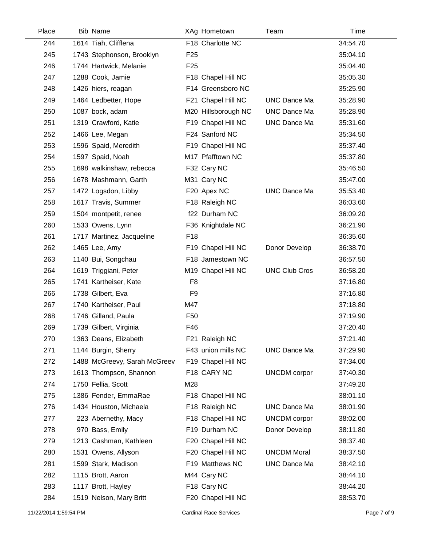| Place | <b>Bib Name</b>              |                 | XAg Hometown        | Team                 | Time     |
|-------|------------------------------|-----------------|---------------------|----------------------|----------|
| 244   | 1614 Tiah, Clifflena         |                 | F18 Charlotte NC    |                      | 34:54.70 |
| 245   | 1743 Stephonson, Brooklyn    | F <sub>25</sub> |                     |                      | 35:04.10 |
| 246   | 1744 Hartwick, Melanie       | F <sub>25</sub> |                     |                      | 35:04.40 |
| 247   | 1288 Cook, Jamie             |                 | F18 Chapel Hill NC  |                      | 35:05.30 |
| 248   | 1426 hiers, reagan           |                 | F14 Greensboro NC   |                      | 35:25.90 |
| 249   | 1464 Ledbetter, Hope         |                 | F21 Chapel Hill NC  | <b>UNC Dance Ma</b>  | 35:28.90 |
| 250   | 1087 bock, adam              |                 | M20 Hillsborough NC | <b>UNC Dance Ma</b>  | 35:28.90 |
| 251   | 1319 Crawford, Katie         |                 | F19 Chapel Hill NC  | <b>UNC Dance Ma</b>  | 35:31.60 |
| 252   | 1466 Lee, Megan              |                 | F24 Sanford NC      |                      | 35:34.50 |
| 253   | 1596 Spaid, Meredith         |                 | F19 Chapel Hill NC  |                      | 35:37.40 |
| 254   | 1597 Spaid, Noah             |                 | M17 Pfafftown NC    |                      | 35:37.80 |
| 255   | 1698 walkinshaw, rebecca     |                 | F32 Cary NC         |                      | 35:46.50 |
| 256   | 1678 Mashmann, Garth         |                 | M31 Cary NC         |                      | 35:47.00 |
| 257   | 1472 Logsdon, Libby          |                 | F20 Apex NC         | <b>UNC Dance Ma</b>  | 35:53.40 |
| 258   | 1617 Travis, Summer          |                 | F18 Raleigh NC      |                      | 36:03.60 |
| 259   | 1504 montpetit, renee        |                 | f22 Durham NC       |                      | 36:09.20 |
| 260   | 1533 Owens, Lynn             |                 | F36 Knightdale NC   |                      | 36:21.90 |
| 261   | 1717 Martinez, Jacqueline    | F18             |                     |                      | 36:35.60 |
| 262   | 1465 Lee, Amy                |                 | F19 Chapel Hill NC  | Donor Develop        | 36:38.70 |
| 263   | 1140 Bui, Songchau           |                 | F18 Jamestown NC    |                      | 36:57.50 |
| 264   | 1619 Triggiani, Peter        |                 | M19 Chapel Hill NC  | <b>UNC Club Cros</b> | 36:58.20 |
| 265   | 1741 Kartheiser, Kate        | F <sub>8</sub>  |                     |                      | 37:16.80 |
| 266   | 1738 Gilbert, Eva            | F <sub>9</sub>  |                     |                      | 37:16.80 |
| 267   | 1740 Kartheiser, Paul        | M47             |                     |                      | 37:18.80 |
| 268   | 1746 Gilland, Paula          | F <sub>50</sub> |                     |                      | 37:19.90 |
| 269   | 1739 Gilbert, Virginia       | F46             |                     |                      | 37:20.40 |
| 270   | 1363 Deans, Elizabeth        |                 | F21 Raleigh NC      |                      | 37:21.40 |
| 271   | 1144 Burgin, Sherry          |                 | F43 union mills NC  | UNC Dance Ma         | 37:29.90 |
| 272   | 1488 McGreevy, Sarah McGreev |                 | F19 Chapel Hill NC  |                      | 37:34.00 |
| 273   | 1613 Thompson, Shannon       |                 | F18 CARY NC         | <b>UNCDM</b> corpor  | 37:40.30 |
| 274   | 1750 Fellia, Scott           | M28             |                     |                      | 37:49.20 |
| 275   | 1386 Fender, EmmaRae         |                 | F18 Chapel Hill NC  |                      | 38:01.10 |
| 276   | 1434 Houston, Michaela       |                 | F18 Raleigh NC      | <b>UNC Dance Ma</b>  | 38:01.90 |
| 277   | 223 Abernethy, Macy          |                 | F18 Chapel Hill NC  | <b>UNCDM</b> corpor  | 38:02.00 |
| 278   | 970 Bass, Emily              |                 | F19 Durham NC       | Donor Develop        | 38:11.80 |
| 279   | 1213 Cashman, Kathleen       |                 | F20 Chapel Hill NC  |                      | 38:37.40 |
| 280   | 1531 Owens, Allyson          |                 | F20 Chapel Hill NC  | <b>UNCDM Moral</b>   | 38:37.50 |
| 281   | 1599 Stark, Madison          |                 | F19 Matthews NC     | <b>UNC Dance Ma</b>  | 38:42.10 |
| 282   | 1115 Brott, Aaron            |                 | M44 Cary NC         |                      | 38:44.10 |
| 283   | 1117 Brott, Hayley           |                 | F18 Cary NC         |                      | 38:44.20 |
| 284   | 1519 Nelson, Mary Britt      |                 | F20 Chapel Hill NC  |                      | 38:53.70 |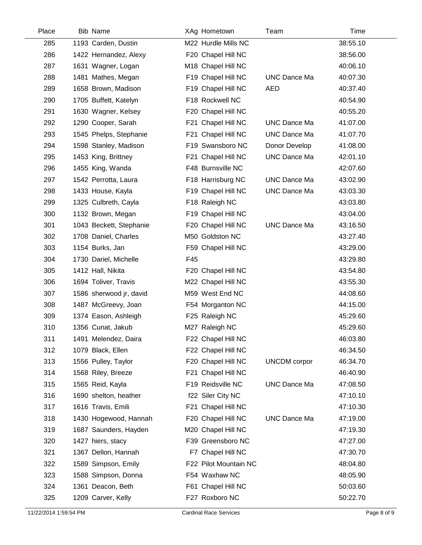| Place | <b>Bib Name</b>         | XAg Hometown          | Team                | Time     |
|-------|-------------------------|-----------------------|---------------------|----------|
| 285   | 1193 Carden, Dustin     | M22 Hurdle Mills NC   |                     | 38:55.10 |
| 286   | 1422 Hernandez, Alexy   | F20 Chapel Hill NC    |                     | 38:56.00 |
| 287   | 1631 Wagner, Logan      | M18 Chapel Hill NC    |                     | 40:06.10 |
| 288   | 1481 Mathes, Megan      | F19 Chapel Hill NC    | <b>UNC Dance Ma</b> | 40:07.30 |
| 289   | 1658 Brown, Madison     | F19 Chapel Hill NC    | <b>AED</b>          | 40:37.40 |
| 290   | 1705 Buffett, Katelyn   | F18 Rockwell NC       |                     | 40:54.90 |
| 291   | 1630 Wagner, Kelsey     | F20 Chapel Hill NC    |                     | 40:55.20 |
| 292   | 1290 Cooper, Sarah      | F21 Chapel Hill NC    | <b>UNC Dance Ma</b> | 41:07.00 |
| 293   | 1545 Phelps, Stephanie  | F21 Chapel Hill NC    | <b>UNC Dance Ma</b> | 41:07.70 |
| 294   | 1598 Stanley, Madison   | F19 Swansboro NC      | Donor Develop       | 41:08.00 |
| 295   | 1453 King, Brittney     | F21 Chapel Hill NC    | <b>UNC Dance Ma</b> | 42:01.10 |
| 296   | 1455 King, Wanda        | F48 Burnsville NC     |                     | 42:07.60 |
| 297   | 1542 Perrotta, Laura    | F18 Harrisburg NC     | <b>UNC Dance Ma</b> | 43:02.90 |
| 298   | 1433 House, Kayla       | F19 Chapel Hill NC    | <b>UNC Dance Ma</b> | 43:03.30 |
| 299   | 1325 Culbreth, Cayla    | F18 Raleigh NC        |                     | 43:03.80 |
| 300   | 1132 Brown, Megan       | F19 Chapel Hill NC    |                     | 43:04.00 |
| 301   | 1043 Beckett, Stephanie | F20 Chapel Hill NC    | <b>UNC Dance Ma</b> | 43:16.50 |
| 302   | 1708 Daniel, Charles    | M50 Goldston NC       |                     | 43:27.40 |
| 303   | 1154 Burks, Jan         | F59 Chapel Hill NC    |                     | 43:29.00 |
| 304   | 1730 Dariel, Michelle   | F45                   |                     | 43:29.80 |
| 305   | 1412 Hall, Nikita       | F20 Chapel Hill NC    |                     | 43:54.80 |
| 306   | 1694 Toliver, Travis    | M22 Chapel Hill NC    |                     | 43:55.30 |
| 307   | 1586 sherwood jr, david | M59 West End NC       |                     | 44:08.60 |
| 308   | 1487 McGreevy, Joan     | F54 Morganton NC      |                     | 44:15.00 |
| 309   | 1374 Eason, Ashleigh    | F25 Raleigh NC        |                     | 45:29.60 |
| 310   | 1356 Cunat, Jakub       | M27 Raleigh NC        |                     | 45:29.60 |
| 311   | 1491 Melendez, Daira    | F22 Chapel Hill NC    |                     | 46:03.80 |
| 312   | 1079 Black, Ellen       | F22 Chapel Hill NC    |                     | 46:34.50 |
| 313   | 1556 Pulley, Taylor     | F20 Chapel Hill NC    | <b>UNCDM</b> corpor | 46:34.70 |
| 314   | 1568 Riley, Breeze      | F21 Chapel Hill NC    |                     | 46:40.90 |
| 315   | 1565 Reid, Kayla        | F19 Reidsville NC     | <b>UNC Dance Ma</b> | 47:08.50 |
| 316   | 1690 shelton, heather   | f22 Siler City NC     |                     | 47:10.10 |
| 317   | 1616 Travis, Emili      | F21 Chapel Hill NC    |                     | 47:10.30 |
| 318   | 1430 Hogewood, Hannah   | F20 Chapel Hill NC    | <b>UNC Dance Ma</b> | 47:19.00 |
| 319   | 1687 Saunders, Hayden   | M20 Chapel Hill NC    |                     | 47:19.30 |
| 320   | 1427 hiers, stacy       | F39 Greensboro NC     |                     | 47:27.00 |
| 321   | 1367 Dellon, Hannah     | F7 Chapel Hill NC     |                     | 47:30.70 |
| 322   | 1589 Simpson, Emily     | F22 Pilot Mountain NC |                     | 48:04.80 |
| 323   | 1588 Simpson, Donna     | F54 Waxhaw NC         |                     | 48:05.90 |
| 324   | 1361 Deacon, Beth       | F61 Chapel Hill NC    |                     | 50:03.60 |
| 325   | 1209 Carver, Kelly      | F27 Roxboro NC        |                     | 50:22.70 |